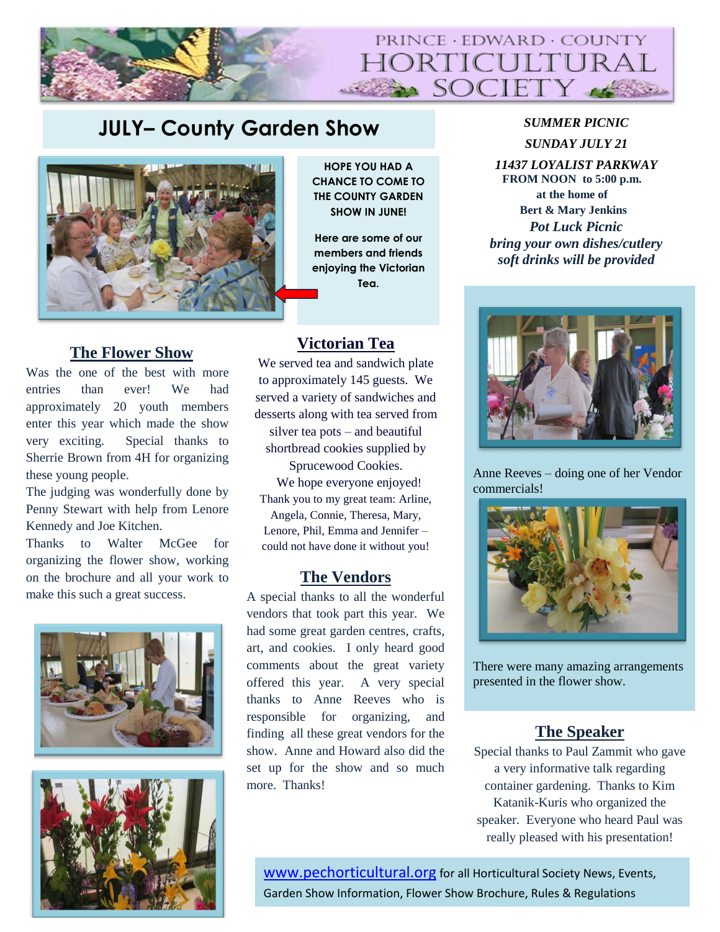

# **JULY– County Garden Show** *SUMMER PICNIC*



# **The Flower Show**

Was the one of the best with more entries than ever! We had approximately 20 youth members enter this year which made the show very exciting. Special thanks to Sherrie Brown from 4H for organizing these young people.

The judging was wonderfully done by Penny Stewart with help from Lenore Kennedy and Joe Kitchen.

Thanks to Walter McGee for organizing the flower show, working on the brochure and all your work to make this such a great success.





**HOPE YOU HAD A CHANCE TO COME TO THE COUNTY GARDEN SHOW IN JUNE!** 

**Here are some of our members and friends enjoying the Victorian Tea.**

## **Victorian Tea**

We served tea and sandwich plate to approximately 145 guests. We served a variety of sandwiches and desserts along with tea served from silver tea pots – and beautiful

shortbread cookies supplied by Sprucewood Cookies. We hope everyone enjoyed! Thank you to my great team: Arline,

Angela, Connie, Theresa, Mary, Lenore, Phil, Emma and Jennifer – could not have done it without you!

## **The Vendors**

A special thanks to all the wonderful vendors that took part this year. We had some great garden centres, crafts, art, and cookies. I only heard good comments about the great variety offered this year. A very special thanks to Anne Reeves who is responsible for organizing, and finding all these great vendors for the show. Anne and Howard also did the set up for the show and so much more. Thanks!

*SUNDAY JULY 21*

*11437 LOYALIST PARKWAY* **FROM NOON to 5:00 p.m. at the home of Bert & Mary Jenkins** *Pot Luck Picnic bring your own dishes/cutlery soft drinks will be provided*



Anne Reeves – doing one of her Vendor commercials!



There were many amazing arrangements presented in the flower show.

# **The Speaker**

Special thanks to Paul Zammit who gave a very informative talk regarding container gardening. Thanks to Kim Katanik-Kuris who organized the speaker. Everyone who heard Paul was really pleased with his presentation!

[www.pechorticultural.org](http://www.pechorticultural.org/) for all Horticultural Society News, Events, Garden Show Information, Flower Show Brochure, Rules & Regulations